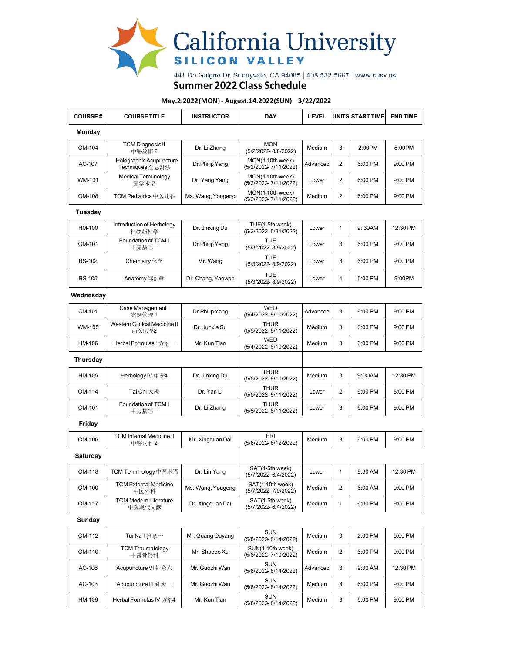

## **Summer 2022 Class Schedule**

## **May.2.2022(MON)- August.14.2022(SUN) 3/22/2022**

| <b>COURSE#</b> | <b>COURSE TITLE</b>                        | <b>INSTRUCTOR</b> | <b>DAY</b>                               | <b>LEVEL</b> |                | UNITS START TIME | <b>END TIME</b> |
|----------------|--------------------------------------------|-------------------|------------------------------------------|--------------|----------------|------------------|-----------------|
| Monday         |                                            |                   |                                          |              |                |                  |                 |
| OM-104         | <b>TCM Diagnosis II</b><br>中醫診斷2           | Dr. Li Zhang      | <b>MON</b><br>(5/2/2022-8/8/2022)        | Medium       | 3              | 2:00PM           | 5:00PM          |
| AC-107         | Holographic Acupuncture<br>Techniques 全息針法 | Dr.Philip Yang    | MON(1-10th week)<br>(5/2/2022-7/11/2022) | Advanced     | $\overline{2}$ | 6:00 PM          | 9:00 PM         |
| WM-101         | <b>Medical Terminology</b><br>医学术语         | Dr. Yang Yang     | MON(1-10th week)<br>(5/2/2022-7/11/2022) | Lower        | $\overline{2}$ | 6:00 PM          | 9:00 PM         |
| OM-108         | TCM Pediatrics 中医儿科                        | Ms. Wang, Yougeng | MON(1-10th week)<br>(5/2/2022-7/11/2022) | Medium       | $\overline{2}$ | 6:00 PM          | 9:00 PM         |
| Tuesday        |                                            |                   |                                          |              |                |                  |                 |
| HM-100         | Introduction of Herbology<br>植物药性学         | Dr. Jinxing Du    | TUE(1-5th week)<br>(5/3/2022-5/31/2022)  | Lower        | $\overline{1}$ | 9:30AM           | 12:30 PM        |
| OM-101         | Foundation of TCM I<br>中医基础一               | Dr.Philip Yang    | <b>TUE</b><br>(5/3/2022-8/9/2022)        | Lower        | 3              | 6:00 PM          | 9:00 PM         |
| <b>BS-102</b>  | Chemistry 化学                               | Mr. Wang          | <b>TUE</b><br>(5/3/2022-8/9/2022)        | Lower        | 3              | 6:00 PM          | 9:00 PM         |
| <b>BS-105</b>  | Anatomy 解剖学                                | Dr. Chang, Yaowen | <b>TUE</b><br>(5/3/2022-8/9/2022)        | Lower        | $\overline{4}$ | 5:00 PM          | 9:00PM          |
| Wednesday      |                                            |                   |                                          |              |                |                  |                 |
| CM-101         | Case Management I<br>案例管理1                 | Dr.Philip Yang    | <b>WED</b><br>(5/4/2022-8/10/2022)       | Advanced     | 3              | 6:00 PM          | 9:00 PM         |
| WM-105         | Western Clinical Medicine II<br>西医医学2      | Dr. Junxia Su     | <b>THUR</b><br>(5/5/2022-8/11/2022)      | Medium       | 3              | 6:00 PM          | 9:00 PM         |
| HM-106         | Herbal Formulas I 方剂一                      | Mr. Kun Tian      | <b>WED</b><br>(5/4/2022-8/10/2022)       | Medium       | 3              | 6:00 PM          | 9:00 PM         |
| Thursday       |                                            |                   |                                          |              |                |                  |                 |
| HM-105         | Herbology IV 中药4                           | Dr. Jinxing Du    | <b>THUR</b><br>(5/5/2022-8/11/2022)      | Medium       | 3              | 9:30AM           | 12:30 PM        |
| OM-114         | Tai Chi 太极                                 | Dr. Yan Li        | <b>THUR</b><br>(5/5/2022-8/11/2022)      | Lower        | $\overline{2}$ | 6:00 PM          | 8:00 PM         |
| OM-101         | Foundation of TCM I<br>中医基础一               | Dr. Li Zhang      | <b>THUR</b><br>(5/5/2022-8/11/2022)      | Lower        | 3              | 6:00 PM          | 9:00 PM         |
| Friday         |                                            |                   |                                          |              |                |                  |                 |
| OM-106         | TCM Internal Medicine II<br>中醫內科2          | Mr. Xingquan Dai  | <b>FRI</b><br>(5/6/2022-8/12/2022)       | Medium       | 3              | 6:00 PM          | 9:00 PM         |
| Saturday       |                                            |                   |                                          |              |                |                  |                 |
| OM-118         | TCM Terminology 中医术语                       | Dr. Lin Yang      | SAT(1-5th week)<br>(5/7/2022-6/4/2022)   | Lower        | $\overline{1}$ | 9:30 AM          | 12:30 PM        |
| OM-100         | <b>TCM External Medicine</b><br>中医外科       | Ms. Wang, Yougeng | SAT(1-10th week)<br>(5/7/2022-7/9/2022)  | Medium       | $\overline{2}$ | 6:00 AM          | 9:00 PM         |
| OM-117         | <b>TCM Modern Literature</b><br>中医现代文献     | Dr. Xingquan Dai  | SAT(1-5th week)<br>(5/7/2022-6/4/2022)   | Medium       | $\overline{1}$ | 6:00 PM          | 9:00 PM         |
| Sunday         |                                            |                   |                                          |              |                |                  |                 |
| OM-112         | Tui Na I 推拿一                               | Mr. Guang Ouyang  | SUN<br>(5/8/2022-8/14/2022)              | Medium       | 3              | 2:00 PM          | 5:00 PM         |
| OM-110         | <b>TCM Traumatology</b><br>中醫骨傷科           | Mr. Shaobo Xu     | SUN(1-10th week)<br>(5/8/2022-7/10/2022) | Medium       | $\overline{2}$ | 6:00 PM          | 9:00 PM         |
| AC-106         | Acupuncture VI 针灸六                         | Mr. Guozhi Wan    | SUN<br>(5/8/2022-8/14/2022)              | Advanced     | 3              | 9:30 AM          | 12:30 PM        |

AC-103 Acupuncture III 针灸三 Mr. Guozhi Wan  $\Big|$  SUN SUN Medium 3 6:00 PM 9:00 PM

HM-109 Herbal Formulas IV 方剂4 Mr. Kun Tian  $\Big|\begin{array}{c|c}\text{SUM} & \text{SUN} \\
\hline\n\text{G02228} & \text{Median}\end{array}\Big|$  Medium 3 6:00 PM 9:00 PM

(5/8/2022- 8/14/2022)

(5/8/2022- 8/14/2022)